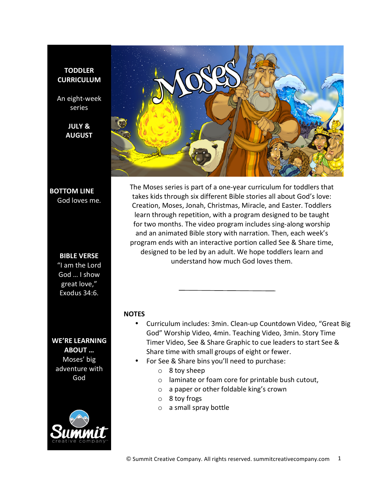### **TODDLER CURRICULUM**

An eight-week series

> **JULY & AUGUST**



## **BOTTOM LINE** God loves me.

### **BIBLE VERSE**

"I am the Lord God ... I show great love," Exodus 34:6.

**WE'RE LEARNING ABOUT** ... Moses' big adventure with God



The Moses series is part of a one-year curriculum for toddlers that takes kids through six different Bible stories all about God's love: Creation, Moses, Jonah, Christmas, Miracle, and Easter. Toddlers learn through repetition, with a program designed to be taught for two months. The video program includes sing-along worship and an animated Bible story with narration. Then, each week's program ends with an interactive portion called See & Share time, designed to be led by an adult. We hope toddlers learn and understand how much God loves them.

### **NOTES**

- Curriculum includes: 3min. Clean-up Countdown Video, "Great Big God" Worship Video, 4min. Teaching Video, 3min. Story Time Timer Video, See & Share Graphic to cue leaders to start See & Share time with small groups of eight or fewer.
- For See & Share bins you'll need to purchase:
	- $\circ$  8 toy sheep
	- $\circ$  laminate or foam core for printable bush cutout,
	- $\circ$  a paper or other foldable king's crown
	- $\circ$  8 toy frogs
	- $\circ$  a small spray bottle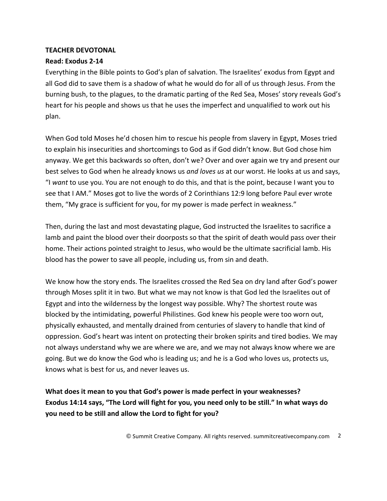# **TEACHER DEVOTONAL**

# **Read: Exodus 2-14**

Everything in the Bible points to God's plan of salvation. The Israelites' exodus from Egypt and all God did to save them is a shadow of what he would do for all of us through Jesus. From the burning bush, to the plagues, to the dramatic parting of the Red Sea, Moses' story reveals God's heart for his people and shows us that he uses the imperfect and unqualified to work out his plan.

When God told Moses he'd chosen him to rescue his people from slavery in Egypt, Moses tried to explain his insecurities and shortcomings to God as if God didn't know. But God chose him anyway. We get this backwards so often, don't we? Over and over again we try and present our best selves to God when he already knows us *and loves us* at our worst. He looks at us and says, "I want to use you. You are not enough to do this, and that is the point, because I want you to see that I AM." Moses got to live the words of 2 Corinthians 12:9 long before Paul ever wrote them, "My grace is sufficient for you, for my power is made perfect in weakness."

Then, during the last and most devastating plague, God instructed the Israelites to sacrifice a lamb and paint the blood over their doorposts so that the spirit of death would pass over their home. Their actions pointed straight to Jesus, who would be the ultimate sacrificial lamb. His blood has the power to save all people, including us, from sin and death.

We know how the story ends. The Israelites crossed the Red Sea on dry land after God's power through Moses split it in two. But what we may not know is that God led the Israelites out of Egypt and into the wilderness by the longest way possible. Why? The shortest route was blocked by the intimidating, powerful Philistines. God knew his people were too worn out, physically exhausted, and mentally drained from centuries of slavery to handle that kind of oppression. God's heart was intent on protecting their broken spirits and tired bodies. We may not always understand why we are where we are, and we may not always know where we are going. But we do know the God who is leading us; and he is a God who loves us, protects us, knows what is best for us, and never leaves us.

What does it mean to you that God's power is made perfect in your weaknesses? **Exodus 14:14 says, "The Lord will fight for you, you need only to be still." In what ways do you need to be still and allow the Lord to fight for you?** 

© Summit Creative Company. All rights reserved. summitcreativecompany.com 2